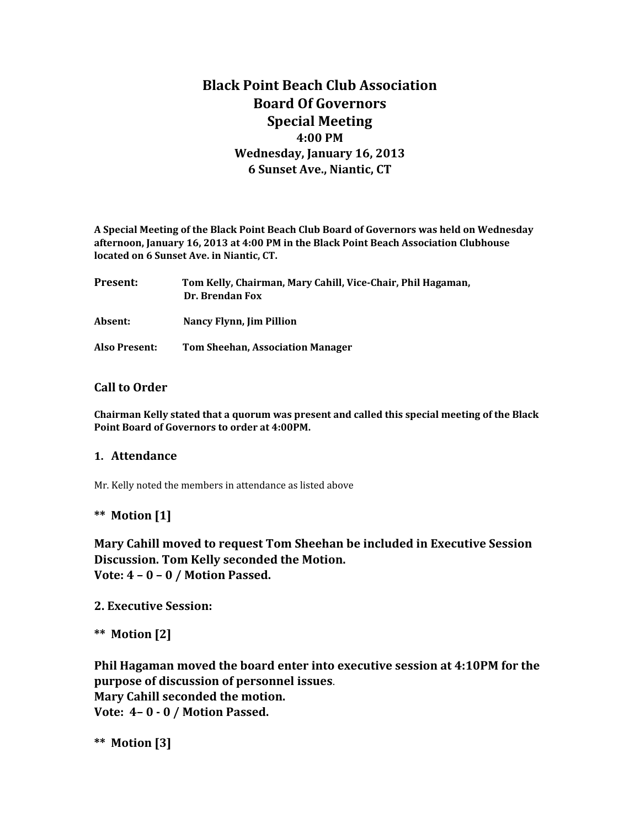# **Black Point Beach Club Association Board Of Governors Special Meeting 4:00 PM Wednesday, January 16, 2013 6 Sunset Ave., Niantic, CT**

**A Special Meeting of the Black Point Beach Club Board of Governors was held on Wednesday afternoon, January 16, 2013 at 4:00 PM in the Black Point Beach Association Clubhouse located on 6 Sunset Ave. in Niantic, CT.**

| Present:      | Tom Kelly, Chairman, Mary Cahill, Vice-Chair, Phil Hagaman,<br>Dr. Brendan Fox |
|---------------|--------------------------------------------------------------------------------|
| Absent:       | <b>Nancy Flynn, Jim Pillion</b>                                                |
| Also Present: | <b>Tom Sheehan, Association Manager</b>                                        |

### **Call to Order**

**Chairman Kelly stated that a quorum was present and called this special meeting of the Black Point Board of Governors to order at 4:00PM.** 

#### **1. Attendance**

Mr. Kelly noted the members in attendance as listed above

#### **\*\* Motion [1]**

**Mary Cahill moved to request Tom Sheehan be included in Executive Session Discussion. Tom Kelly seconded the Motion. Vote: 4 – 0 – 0 / Motion Passed.**

**2. Executive Session:**

**\*\* Motion [2]**

**Phil Hagaman moved the board enter into executive session at 4:10PM for the purpose of discussion of personnel issues**. **Mary Cahill seconded the motion. Vote: 4– 0 - 0 / Motion Passed.**

**\*\* Motion [3]**